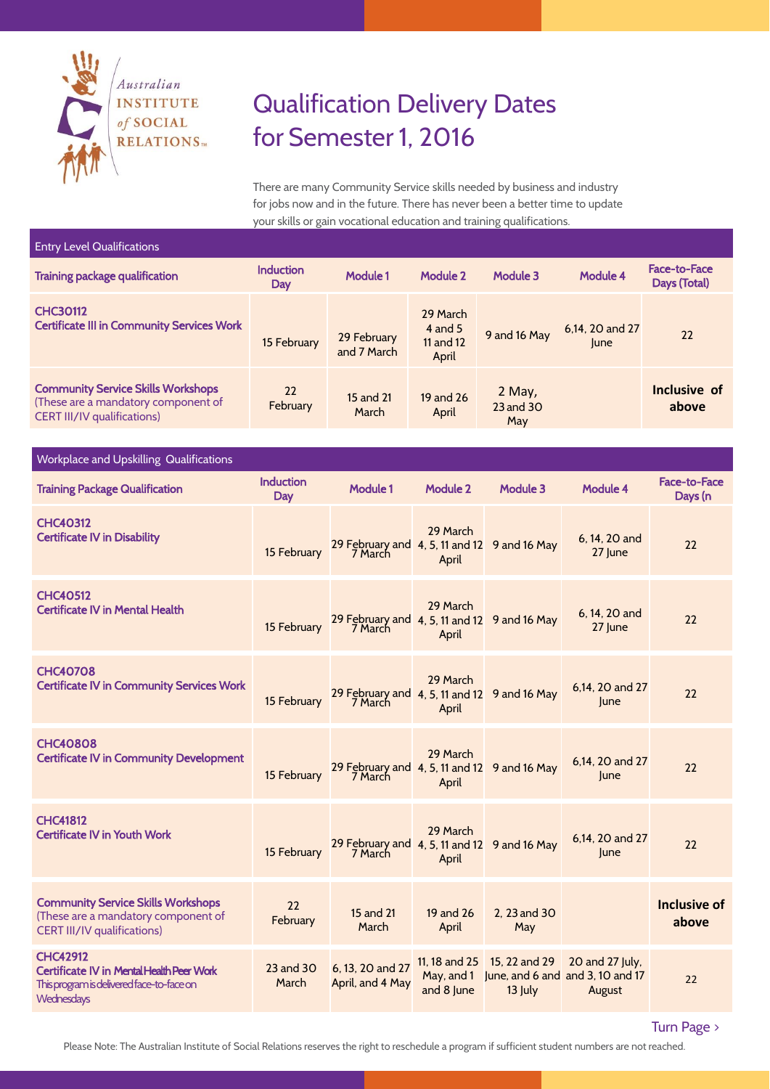

## Qualification Delivery Dates for Semester 1, 2016

There are many Community Service skills needed by business and industry for jobs now and in the future. There has never been a better time to update your skills or gain vocational education and training qualifications.

| <b>Entry Level Qualifications</b>                                                                                      |                         |                            |                                             |                            |                         |                                     |  |  |
|------------------------------------------------------------------------------------------------------------------------|-------------------------|----------------------------|---------------------------------------------|----------------------------|-------------------------|-------------------------------------|--|--|
| <b>Training package qualification</b>                                                                                  | <b>Induction</b><br>Day | <b>Module 1</b>            | Module 2                                    | Module 3                   | Module 4                | <b>Face-to-Face</b><br>Days (Total) |  |  |
| <b>CHC30112</b><br><b>Certificate III in Community Services Work</b>                                                   | 15 February             | 29 February<br>and 7 March | 29 March<br>4 and $5$<br>11 and 12<br>April | 9 and 16 May               | 6,14, 20 and 27<br>lune | 22                                  |  |  |
| <b>Community Service Skills Workshops</b><br>(These are a mandatory component of<br><b>CERT III/IV qualifications)</b> | 22<br>February          | 15 and 21<br>March         | 19 and 26<br>April                          | 2 May,<br>23 and 30<br>May |                         | Inclusive of<br>above               |  |  |

## Workplace and Upskilling Qualifications

| <b>Training Package Qualification</b>                                                                                          | <b>Induction</b><br>Day | Module 1                                                | Module 2                                 | Module 3                   | Module 4                                                      | <b>Face-to-Face</b><br>Days (n |
|--------------------------------------------------------------------------------------------------------------------------------|-------------------------|---------------------------------------------------------|------------------------------------------|----------------------------|---------------------------------------------------------------|--------------------------------|
| <b>CHC40312</b><br><b>Certificate IV in Disability</b>                                                                         | 15 February             | 29 February and 4, 5, 11 and 12 9 and 16 May<br>7 March | 29 March<br>April                        |                            | 6.14, 20 and<br>27 June                                       | 22                             |
| <b>CHC40512</b><br><b>Certificate IV in Mental Health</b>                                                                      | 15 February             | 29 February and 4, 5, 11 and 12 9 and 16 May<br>7 March | 29 March<br>April                        |                            | 6.14, 20 and<br>27 June                                       | 22                             |
| <b>CHC40708</b><br><b>Certificate IV in Community Services Work</b>                                                            | 15 February             | 29 February and 4, 5, 11 and 12 9 and 16 May<br>7 March | 29 March<br>April                        |                            | 6.14, 20 and 27<br>lune                                       | 22                             |
| <b>CHC40808</b><br><b>Certificate IV in Community Development</b>                                                              | 15 February             | 29 February and 4, 5, 11 and 12 9 and 16 May<br>7 March | 29 March<br>April                        |                            | 6.14, 20 and 27<br>lune                                       | 22                             |
| <b>CHC41812</b><br><b>Certificate IV in Youth Work</b>                                                                         | 15 February             | 29 February and 4, 5, 11 and 12 9 and 16 May<br>7 March | 29 March<br>April                        |                            | 6,14, 20 and 27<br>lune                                       | 22                             |
| <b>Community Service Skills Workshops</b><br>(These are a mandatory component of<br><b>CERT III/IV qualifications)</b>         | 22<br>February          | 15 and 21<br>March                                      | 19 and 26<br>April                       | 2, 23 and 30<br>May        |                                                               | Inclusive of<br>above          |
| <b>CHC42912</b><br>Certificate IV in Mental Health Peer Work<br>This program is delivered face-to-face on<br><b>Wednesdays</b> | 23 and 30<br>March      | 6, 13, 20 and 27<br>April, and 4 May                    | 11.18 and 25<br>May, and 1<br>and 8 June | 15, 22 and 29<br>$13$ July | 20 and 27 July,<br>June, and 6 and and 3, 10 and 17<br>August | 22                             |

Turn Page >

Please Note: The Australian Institute of Social Relations reserves the right to reschedule a program if sufficient student numbers are not reached.